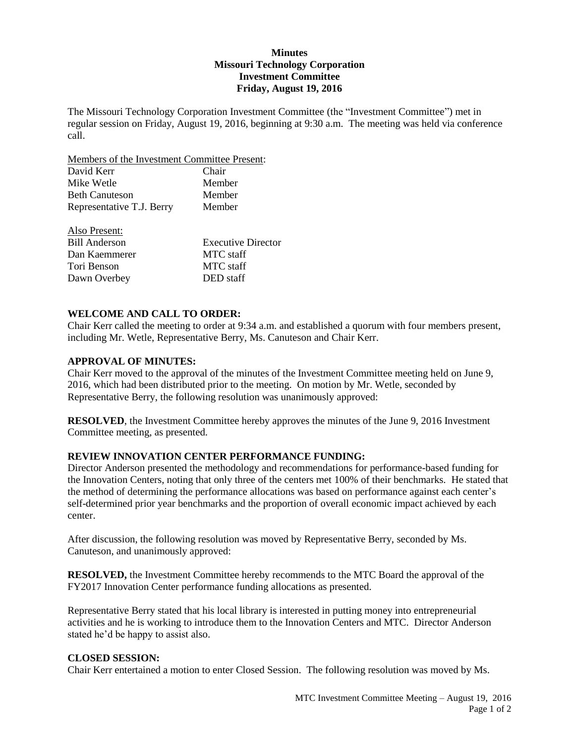## **Minutes Missouri Technology Corporation Investment Committee Friday, August 19, 2016**

The Missouri Technology Corporation Investment Committee (the "Investment Committee") met in regular session on Friday, August 19, 2016, beginning at 9:30 a.m. The meeting was held via conference call.

Members of the Investment Committee Present:

| Chair  |
|--------|
| Member |
| Member |
| Member |
|        |

| Also Present: |                           |
|---------------|---------------------------|
| Bill Anderson | <b>Executive Director</b> |
| Dan Kaemmerer | MTC staff                 |
| Tori Benson   | MTC staff                 |
| Dawn Overbey  | DED staff                 |

# **WELCOME AND CALL TO ORDER:**

Chair Kerr called the meeting to order at 9:34 a.m. and established a quorum with four members present, including Mr. Wetle, Representative Berry, Ms. Canuteson and Chair Kerr.

### **APPROVAL OF MINUTES:**

Chair Kerr moved to the approval of the minutes of the Investment Committee meeting held on June 9, 2016, which had been distributed prior to the meeting. On motion by Mr. Wetle, seconded by Representative Berry, the following resolution was unanimously approved:

**RESOLVED**, the Investment Committee hereby approves the minutes of the June 9, 2016 Investment Committee meeting, as presented.

# **REVIEW INNOVATION CENTER PERFORMANCE FUNDING:**

Director Anderson presented the methodology and recommendations for performance-based funding for the Innovation Centers, noting that only three of the centers met 100% of their benchmarks. He stated that the method of determining the performance allocations was based on performance against each center's self-determined prior year benchmarks and the proportion of overall economic impact achieved by each center.

After discussion, the following resolution was moved by Representative Berry, seconded by Ms. Canuteson, and unanimously approved:

**RESOLVED,** the Investment Committee hereby recommends to the MTC Board the approval of the FY2017 Innovation Center performance funding allocations as presented.

Representative Berry stated that his local library is interested in putting money into entrepreneurial activities and he is working to introduce them to the Innovation Centers and MTC. Director Anderson stated he'd be happy to assist also.

### **CLOSED SESSION:**

Chair Kerr entertained a motion to enter Closed Session. The following resolution was moved by Ms.